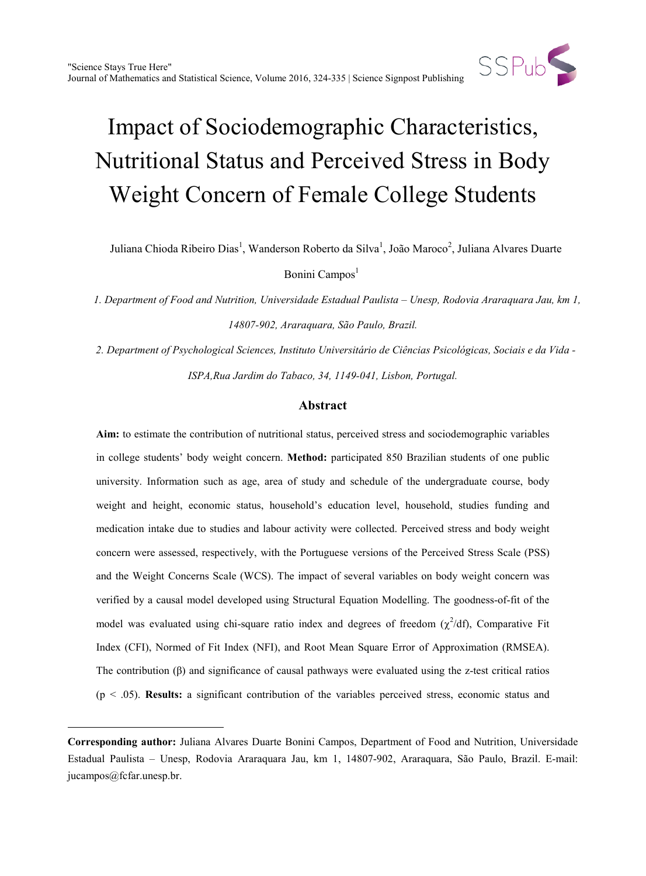

Juliana Chioda Ribeiro Dias<sup>1</sup>, Wanderson Roberto da Silva<sup>1</sup>, João Maroco<sup>2</sup>, Juliana Alvares Duarte

Bonini Campos<sup>1</sup>

*1. Department of Food and Nutrition, Universidade Estadual Paulista – Unesp, Rodovia Araraquara Jau, km 1, 14807-902, Araraquara, São Paulo, Brazil.*

*2. Department of Psychological Sciences, Instituto Universitário de Ciências Psicológicas, Sociais e da Vida - ISPA,Rua Jardim do Tabaco, 34, 1149-041, Lisbon, Portugal.*

# **Abstract**

**Aim:** to estimate the contribution of nutritional status, perceived stress and sociodemographic variables in college students' body weight concern. **Method:** participated 850 Brazilian students of one public university. Information such as age, area of study and schedule of the undergraduate course, body weight and height, economic status, household's education level, household, studies funding and medication intake due to studies and labour activity were collected. Perceived stress and body weight concern were assessed, respectively, with the Portuguese versions of the Perceived Stress Scale (PSS) and the Weight Concerns Scale (WCS). The impact of several variables on body weight concern was verified by a causal model developed using Structural Equation Modelling. The goodness-of-fit of the model was evaluated using chi-square ratio index and degrees of freedom  $(\chi^2/df)$ , Comparative Fit Index (CFI), Normed of Fit Index (NFI), and Root Mean Square Error of Approximation (RMSEA). The contribution (β) and significance of causal pathways were evaluated using the z-test critical ratios (p < .05). **Results:** a significant contribution of the variables perceived stress, economic status and

 $\overline{a}$ 

**Corresponding author:** Juliana Alvares Duarte Bonini Campos, Department of Food and Nutrition, Universidade Estadual Paulista – Unesp, Rodovia Araraquara Jau, km 1, 14807-902, Araraquara, São Paulo, Brazil. E-mail: jucampos@fcfar.unesp.br.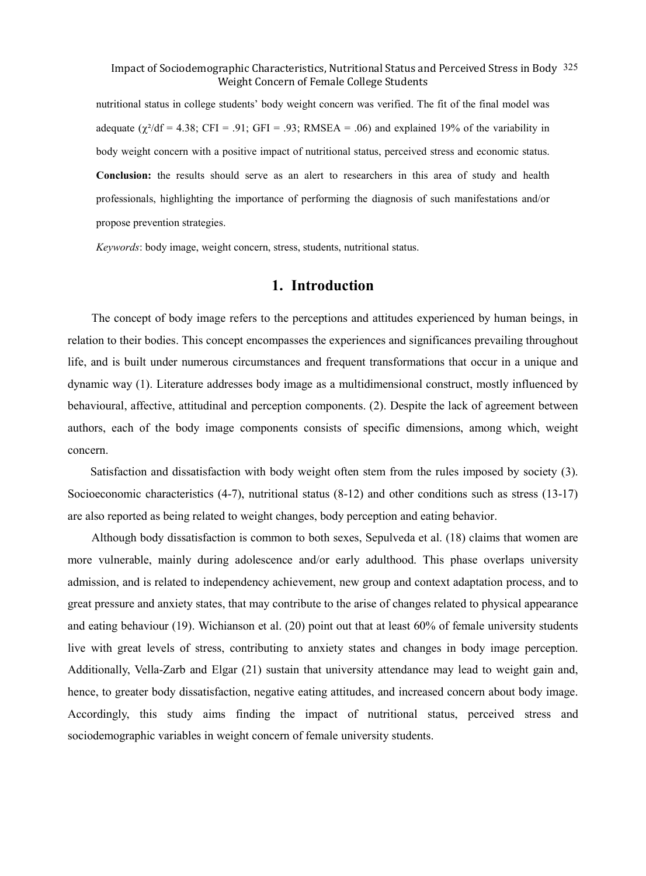nutritional status in college students' body weight concern was verified. The fit of the final model was adequate  $(\chi^2/df = 4.38$ ; CFI = .91; GFI = .93; RMSEA = .06) and explained 19% of the variability in body weight concern with a positive impact of nutritional status, perceived stress and economic status. **Conclusion:** the results should serve as an alert to researchers in this area of study and health professionals, highlighting the importance of performing the diagnosis of such manifestations and/or propose prevention strategies.

*Keywords*: body image, weight concern, stress, students, nutritional status.

# **1. Introduction**

The concept of body image refers to the perceptions and attitudes experienced by human beings, in relation to their bodies. This concept encompasses the experiences and significances prevailing throughout life, and is built under numerous circumstances and frequent transformations that occur in a unique and dynamic way (1). Literature addresses body image as a multidimensional construct, mostly influenced by behavioural, affective, attitudinal and perception components. (2). Despite the lack of agreement between authors, each of the body image components consists of specific dimensions, among which, weight concern.

Satisfaction and dissatisfaction with body weight often stem from the rules imposed by society (3). Socioeconomic characteristics (4-7), nutritional status (8-12) and other conditions such as stress (13-17) are also reported as being related to weight changes, body perception and eating behavior.

Although body dissatisfaction is common to both sexes, Sepulveda et al. (18) claims that women are more vulnerable, mainly during adolescence and/or early adulthood. This phase overlaps university admission, and is related to independency achievement, new group and context adaptation process, and to great pressure and anxiety states, that may contribute to the arise of changes related to physical appearance and eating behaviour (19). Wichianson et al. (20) point out that at least 60% of female university students live with great levels of stress, contributing to anxiety states and changes in body image perception. Additionally, Vella-Zarb and Elgar (21) sustain that university attendance may lead to weight gain and, hence, to greater body dissatisfaction, negative eating attitudes, and increased concern about body image. Accordingly, this study aims finding the impact of nutritional status, perceived stress and sociodemographic variables in weight concern of female university students.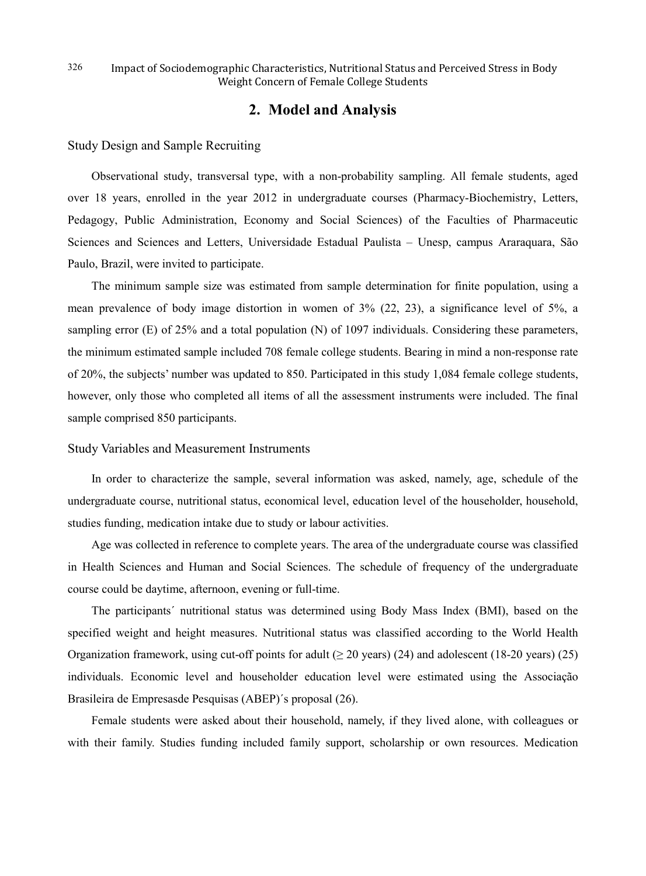# **2. Model and Analysis**

Study Design and Sample Recruiting

Observational study, transversal type, with a non-probability sampling. All female students, aged over 18 years, enrolled in the year 2012 in undergraduate courses (Pharmacy-Biochemistry, Letters, Pedagogy, Public Administration, Economy and Social Sciences) of the Faculties of Pharmaceutic Sciences and Sciences and Letters, Universidade Estadual Paulista – Unesp, campus Araraquara, São Paulo, Brazil, were invited to participate.

The minimum sample size was estimated from sample determination for finite population, using a mean prevalence of body image distortion in women of 3% (22, 23), a significance level of 5%, a sampling error (E) of 25% and a total population (N) of 1097 individuals. Considering these parameters, the minimum estimated sample included 708 female college students. Bearing in mind a non-response rate of 20%, the subjects' number was updated to 850. Participated in this study 1,084 female college students, however, only those who completed all items of all the assessment instruments were included. The final sample comprised 850 participants.

### Study Variables and Measurement Instruments

In order to characterize the sample, several information was asked, namely, age, schedule of the undergraduate course, nutritional status, economical level, education level of the householder, household, studies funding, medication intake due to study or labour activities.

Age was collected in reference to complete years. The area of the undergraduate course was classified in Health Sciences and Human and Social Sciences. The schedule of frequency of the undergraduate course could be daytime, afternoon, evening or full-time.

The participants´ nutritional status was determined using Body Mass Index (BMI), based on the specified weight and height measures. Nutritional status was classified according to the World Health Organization framework, using cut-off points for adult ( $\geq$  20 years) (24) and adolescent (18-20 years) (25) individuals. Economic level and householder education level were estimated using the Associação Brasileira de Empresasde Pesquisas (ABEP)´s proposal (26).

Female students were asked about their household, namely, if they lived alone, with colleagues or with their family. Studies funding included family support, scholarship or own resources. Medication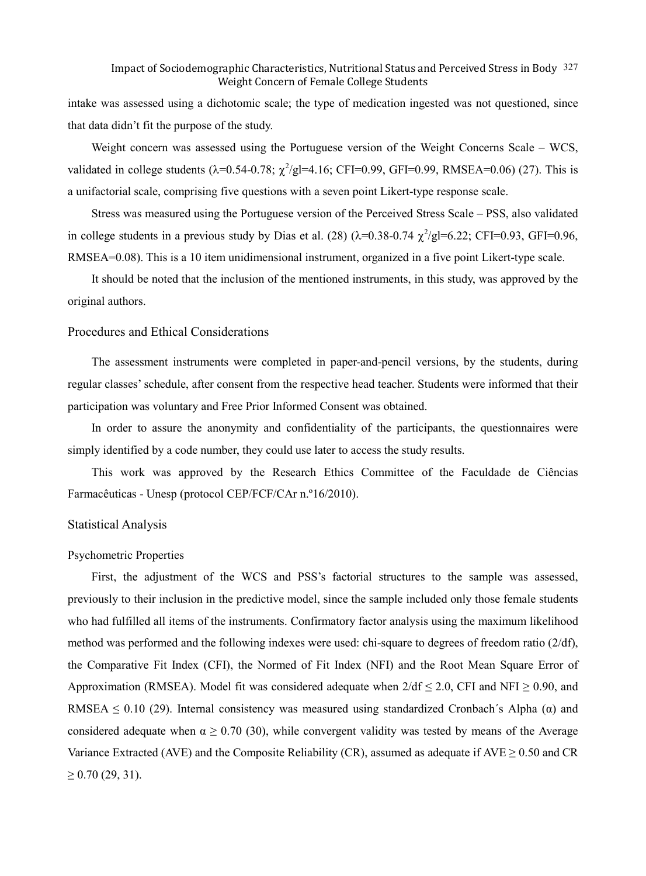intake was assessed using a dichotomic scale; the type of medication ingested was not questioned, since that data didn't fit the purpose of the study.

Weight concern was assessed using the Portuguese version of the Weight Concerns Scale – WCS, validated in college students ( $\lambda$ =0.54-0.78;  $\chi^2$ /gl=4.16; CFI=0.99, GFI=0.99, RMSEA=0.06) (27). This is a unifactorial scale, comprising five questions with a seven point Likert-type response scale.

Stress was measured using the Portuguese version of the Perceived Stress Scale – PSS, also validated in college students in a previous study by Dias et al. (28)  $(\lambda=0.38\t-0.74 \ \chi^2/\text{gl}=6.22; CFI=0.93, GFI=0.96,$ RMSEA=0.08). This is a 10 item unidimensional instrument, organized in a five point Likert-type scale.

It should be noted that the inclusion of the mentioned instruments, in this study, was approved by the original authors.

### Procedures and Ethical Considerations

The assessment instruments were completed in paper-and-pencil versions, by the students, during regular classes' schedule, after consent from the respective head teacher. Students were informed that their participation was voluntary and Free Prior Informed Consent was obtained.

In order to assure the anonymity and confidentiality of the participants, the questionnaires were simply identified by a code number, they could use later to access the study results.

This work was approved by the Research Ethics Committee of the Faculdade de Ciências Farmacêuticas - Unesp (protocol CEP/FCF/CAr n.º16/2010).

### Statistical Analysis

### Psychometric Properties

First, the adjustment of the WCS and PSS's factorial structures to the sample was assessed, previously to their inclusion in the predictive model, since the sample included only those female students who had fulfilled all items of the instruments. Confirmatory factor analysis using the maximum likelihood method was performed and the following indexes were used: chi-square to degrees of freedom ratio (2/df), the Comparative Fit Index (CFI), the Normed of Fit Index (NFI) and the Root Mean Square Error of Approximation (RMSEA). Model fit was considered adequate when  $2/df \le 2.0$ , CFI and NFI  $\ge 0.90$ , and RMSEA  $\leq$  0.10 (29). Internal consistency was measured using standardized Cronbach´s Alpha ( $\alpha$ ) and considered adequate when  $\alpha \ge 0.70$  (30), while convergent validity was tested by means of the Average Variance Extracted (AVE) and the Composite Reliability (CR), assumed as adequate if  $AVE \ge 0.50$  and CR  $\geq$  0.70 (29, 31).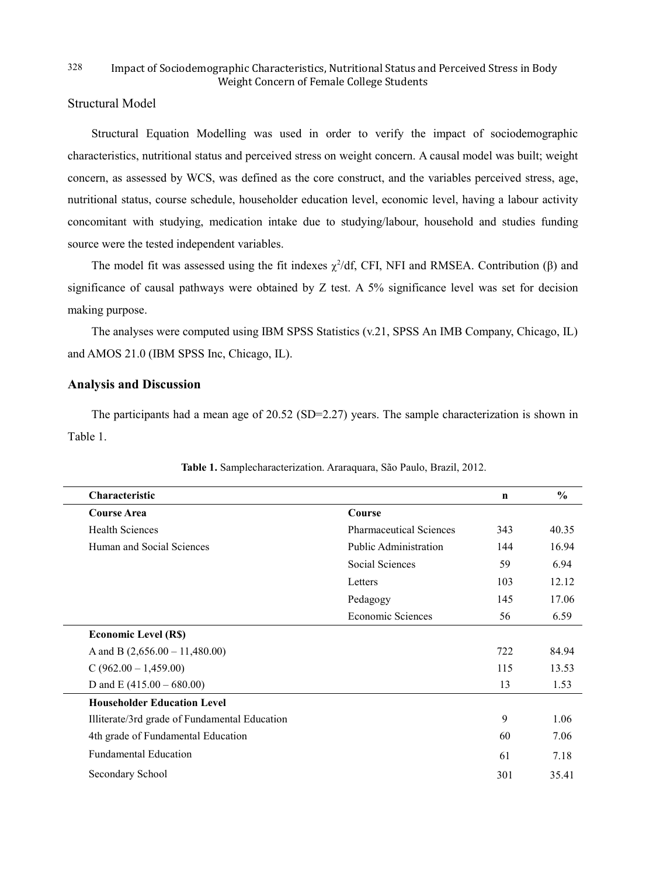# Structural Model

Structural Equation Modelling was used in order to verify the impact of sociodemographic characteristics, nutritional status and perceived stress on weight concern. A causal model was built; weight concern, as assessed by WCS, was defined as the core construct, and the variables perceived stress, age, nutritional status, course schedule, householder education level, economic level, having a labour activity concomitant with studying, medication intake due to studying/labour, household and studies funding source were the tested independent variables.

The model fit was assessed using the fit indexes  $\chi^2$ /df, CFI, NFI and RMSEA. Contribution ( $\beta$ ) and significance of causal pathways were obtained by Z test. A 5% significance level was set for decision making purpose.

The analyses were computed using IBM SPSS Statistics (v.21, SPSS An IMB Company, Chicago, IL) and AMOS 21.0 (IBM SPSS Inc, Chicago, IL).

### **Analysis and Discussion**

The participants had a mean age of 20.52 (SD=2.27) years. The sample characterization is shown in Table 1.

| <b>Characteristic</b>                         |                                | $\mathbf n$ | $\frac{0}{0}$ |
|-----------------------------------------------|--------------------------------|-------------|---------------|
| <b>Course Area</b>                            | Course                         |             |               |
| <b>Health Sciences</b>                        | <b>Pharmaceutical Sciences</b> | 343         | 40.35         |
| Human and Social Sciences                     | <b>Public Administration</b>   | 144         | 16.94         |
|                                               | Social Sciences                | 59          | 6.94          |
|                                               | Letters                        | 103         | 12.12         |
|                                               | Pedagogy                       | 145         | 17.06         |
|                                               | Economic Sciences              | 56          | 6.59          |
| <b>Economic Level (R\$)</b>                   |                                |             |               |
| A and B $(2,656.00 - 11,480.00)$              |                                | 722         | 84.94         |
| $C(962.00 - 1,459.00)$                        |                                | 115         | 13.53         |
| D and E $(415.00 - 680.00)$                   |                                | 13          | 1.53          |
| <b>Householder Education Level</b>            |                                |             |               |
| Illiterate/3rd grade of Fundamental Education |                                | 9           | 1.06          |
| 4th grade of Fundamental Education            |                                | 60          | 7.06          |
| <b>Fundamental Education</b>                  |                                | 61          | 7.18          |
| Secondary School                              |                                | 301         | 35.41         |

**Table 1.** Samplecharacterization. Araraquara, São Paulo, Brazil, 2012.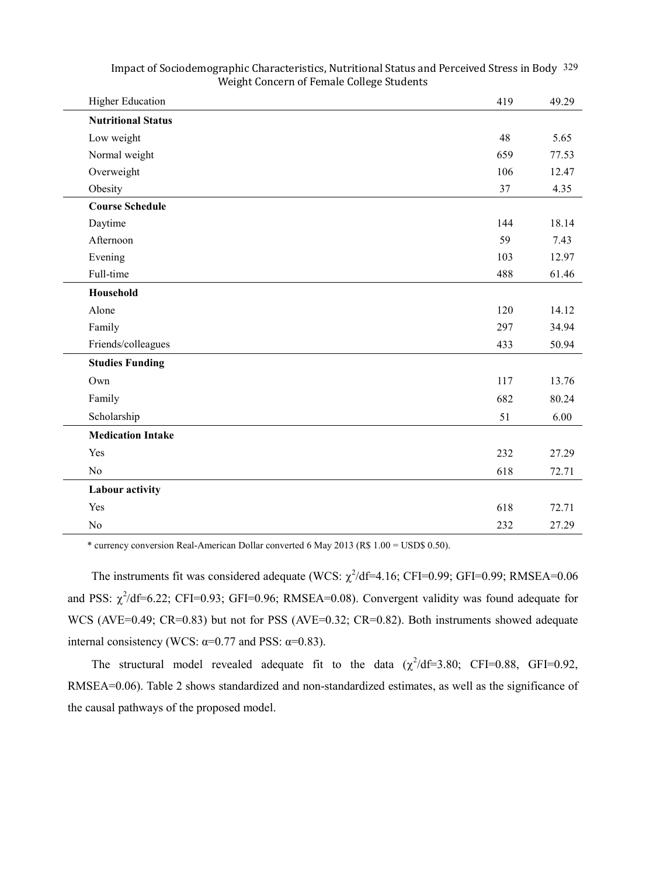| <b>Higher Education</b>   | 419 | 49.29 |
|---------------------------|-----|-------|
| <b>Nutritional Status</b> |     |       |
| Low weight                | 48  | 5.65  |
| Normal weight             | 659 | 77.53 |
| Overweight                | 106 | 12.47 |
| Obesity                   | 37  | 4.35  |
| <b>Course Schedule</b>    |     |       |
| Daytime                   | 144 | 18.14 |
| Afternoon                 | 59  | 7.43  |
| Evening                   | 103 | 12.97 |
| Full-time                 | 488 | 61.46 |
| Household                 |     |       |
| Alone                     | 120 | 14.12 |
| Family                    | 297 | 34.94 |
| Friends/colleagues        | 433 | 50.94 |
| <b>Studies Funding</b>    |     |       |
| Own                       | 117 | 13.76 |
| Family                    | 682 | 80.24 |
| Scholarship               | 51  | 6.00  |
| <b>Medication Intake</b>  |     |       |
| Yes                       | 232 | 27.29 |
| N <sub>o</sub>            | 618 | 72.71 |
| Labour activity           |     |       |
| Yes                       | 618 | 72.71 |
| N <sub>o</sub>            | 232 | 27.29 |

\* currency conversion Real-American Dollar converted 6 May 2013 (R\$ 1.00 = USD\$ 0.50).

The instruments fit was considered adequate (WCS:  $\chi^2$ /df=4.16; CFI=0.99; GFI=0.99; RMSEA=0.06 and PSS:  $\chi^2$ /df=6.22; CFI=0.93; GFI=0.96; RMSEA=0.08). Convergent validity was found adequate for WCS (AVE=0.49; CR=0.83) but not for PSS (AVE=0.32; CR=0.82). Both instruments showed adequate internal consistency (WCS:  $\alpha=0.77$  and PSS:  $\alpha=0.83$ ).

The structural model revealed adequate fit to the data  $(\chi^2/df=3.80; CFI=0.88, GFI=0.92,$ RMSEA=0.06). Table 2 shows standardized and non-standardized estimates, as well as the significance of the causal pathways of the proposed model.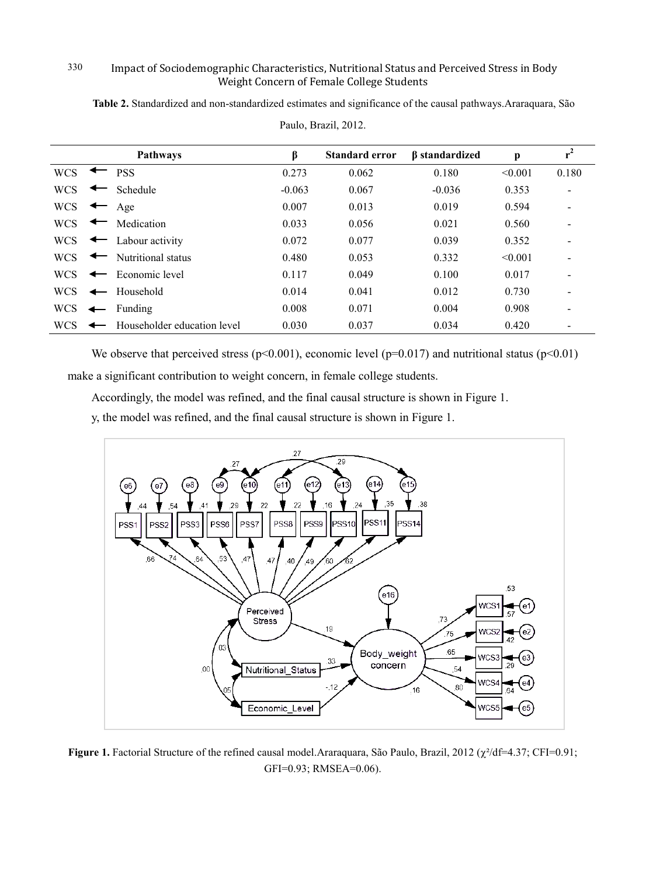**Table 2.** Standardized and non-standardized estimates and significance of the causal pathways.Araraquara, São

|            |                          | <b>Pathways</b>              | β        | <b>Standard error</b> | <b><i>B</i></b> standardized | p       | $r^2$                    |
|------------|--------------------------|------------------------------|----------|-----------------------|------------------------------|---------|--------------------------|
| <b>WCS</b> |                          | <b>PSS</b>                   | 0.273    | 0.062                 | 0.180                        | < 0.001 | 0.180                    |
| <b>WCS</b> |                          | Schedule                     | $-0.063$ | 0.067                 | $-0.036$                     | 0.353   |                          |
| <b>WCS</b> |                          | Age                          | 0.007    | 0.013                 | 0.019                        | 0.594   | $\overline{\phantom{0}}$ |
| <b>WCS</b> | $\overline{\phantom{a}}$ | Medication                   | 0.033    | 0.056                 | 0.021                        | 0.560   | $\overline{\phantom{a}}$ |
| <b>WCS</b> |                          | $\leftarrow$ Labour activity | 0.072    | 0.077                 | 0.039                        | 0.352   |                          |
| <b>WCS</b> | $\overline{\phantom{a}}$ | Nutritional status           | 0.480    | 0.053                 | 0.332                        | < 0.001 |                          |
| <b>WCS</b> | $\overline{\phantom{0}}$ | Economic level               | 0.117    | 0.049                 | 0.100                        | 0.017   |                          |
| WCS.       | $\leftarrow$             | Household                    | 0.014    | 0.041                 | 0.012                        | 0.730   |                          |
| <b>WCS</b> | $\leftarrow$             | Funding                      | 0.008    | 0.071                 | 0.004                        | 0.908   |                          |
| <b>WCS</b> |                          | Householder education level  | 0.030    | 0.037                 | 0.034                        | 0.420   |                          |

Paulo, Brazil, 2012.

We observe that perceived stress ( $p<0.001$ ), economic level ( $p=0.017$ ) and nutritional status ( $p<0.01$ ) make a significant contribution to weight concern, in female college students.

Accordingly, the model was refined, and the final causal structure is shown in Figure 1.

y, the model was refined, and the final causal structure is shown in Figure 1.



**Figure 1.** Factorial Structure of the refined causal model.Araraquara, São Paulo, Brazil, 2012 (χ²/df=4.37; CFI=0.91; GFI=0.93; RMSEA=0.06).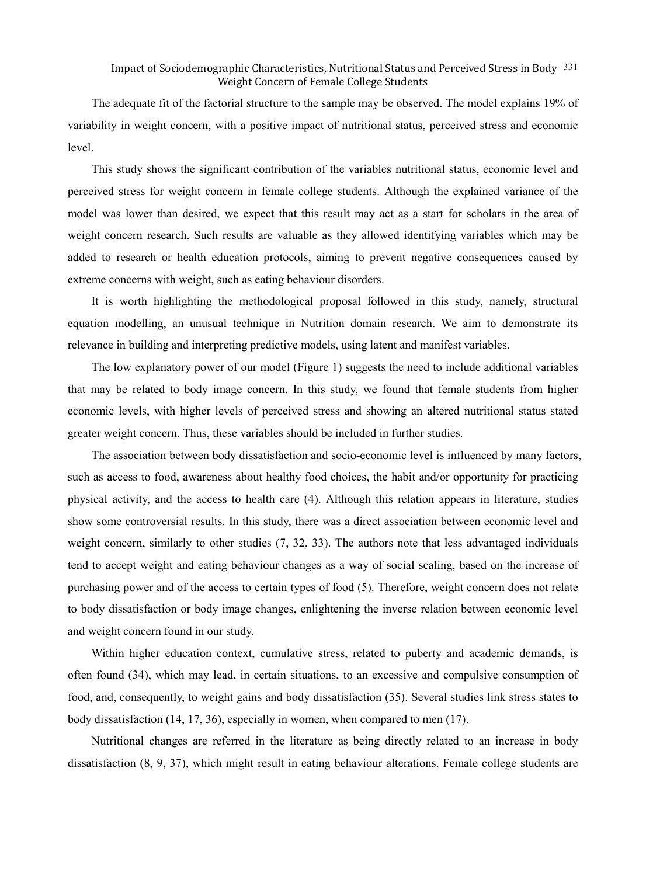The adequate fit of the factorial structure to the sample may be observed. The model explains 19% of variability in weight concern, with a positive impact of nutritional status, perceived stress and economic level.

This study shows the significant contribution of the variables nutritional status, economic level and perceived stress for weight concern in female college students. Although the explained variance of the model was lower than desired, we expect that this result may act as a start for scholars in the area of weight concern research. Such results are valuable as they allowed identifying variables which may be added to research or health education protocols, aiming to prevent negative consequences caused by extreme concerns with weight, such as eating behaviour disorders.

It is worth highlighting the methodological proposal followed in this study, namely, structural equation modelling, an unusual technique in Nutrition domain research. We aim to demonstrate its relevance in building and interpreting predictive models, using latent and manifest variables.

The low explanatory power of our model (Figure 1) suggests the need to include additional variables that may be related to body image concern. In this study, we found that female students from higher economic levels, with higher levels of perceived stress and showing an altered nutritional status stated greater weight concern. Thus, these variables should be included in further studies.

The association between body dissatisfaction and socio-economic level is influenced by many factors, such as access to food, awareness about healthy food choices, the habit and/or opportunity for practicing physical activity, and the access to health care (4). Although this relation appears in literature, studies show some controversial results. In this study, there was a direct association between economic level and weight concern, similarly to other studies (7, 32, 33). The authors note that less advantaged individuals tend to accept weight and eating behaviour changes as a way of social scaling, based on the increase of purchasing power and of the access to certain types of food (5). Therefore, weight concern does not relate to body dissatisfaction or body image changes, enlightening the inverse relation between economic level and weight concern found in our study.

Within higher education context, cumulative stress, related to puberty and academic demands, is often found (34), which may lead, in certain situations, to an excessive and compulsive consumption of food, and, consequently, to weight gains and body dissatisfaction (35). Several studies link stress states to body dissatisfaction (14, 17, 36), especially in women, when compared to men (17).

Nutritional changes are referred in the literature as being directly related to an increase in body dissatisfaction (8, 9, 37), which might result in eating behaviour alterations. Female college students are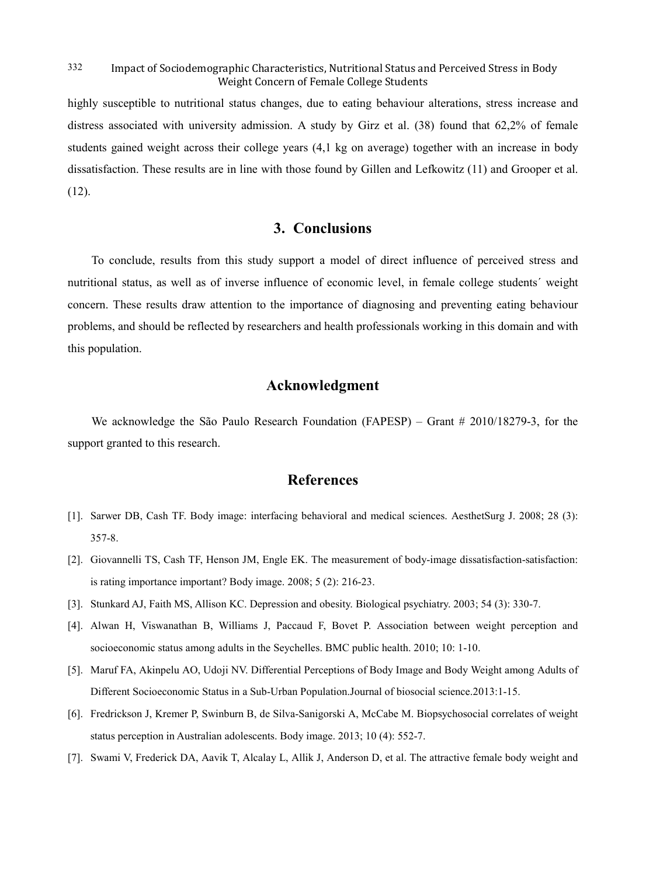highly susceptible to nutritional status changes, due to eating behaviour alterations, stress increase and distress associated with university admission. A study by Girz et al. (38) found that 62,2% of female students gained weight across their college years (4,1 kg on average) together with an increase in body dissatisfaction. These results are in line with those found by Gillen and Lefkowitz (11) and Grooper et al. (12).

# **3. Conclusions**

To conclude, results from this study support a model of direct influence of perceived stress and nutritional status, as well as of inverse influence of economic level, in female college students´ weight concern. These results draw attention to the importance of diagnosing and preventing eating behaviour problems, and should be reflected by researchers and health professionals working in this domain and with this population.

# **Acknowledgment**

We acknowledge the São Paulo Research Foundation (FAPESP) – Grant # 2010/18279-3, for the support granted to this research.

# **References**

- [1]. Sarwer DB, Cash TF. Body image: interfacing behavioral and medical sciences. AesthetSurg J. 2008; 28 (3): 357-8.
- [2]. Giovannelli TS, Cash TF, Henson JM, Engle EK. The measurement of body-image dissatisfaction-satisfaction: is rating importance important? Body image. 2008; 5 (2): 216-23.
- [3]. Stunkard AJ, Faith MS, Allison KC. Depression and obesity. Biological psychiatry. 2003; 54 (3): 330-7.
- [4]. Alwan H, Viswanathan B, Williams J, Paccaud F, Bovet P. Association between weight perception and socioeconomic status among adults in the Seychelles. BMC public health. 2010; 10: 1-10.
- [5]. Maruf FA, Akinpelu AO, Udoji NV. Differential Perceptions of Body Image and Body Weight among Adults of Different Socioeconomic Status in a Sub-Urban Population.Journal of biosocial science.2013:1-15.
- [6]. Fredrickson J, Kremer P, Swinburn B, de Silva-Sanigorski A, McCabe M. Biopsychosocial correlates of weight status perception in Australian adolescents. Body image. 2013; 10 (4): 552-7.
- [7]. Swami V, Frederick DA, Aavik T, Alcalay L, Allik J, Anderson D, et al. The attractive female body weight and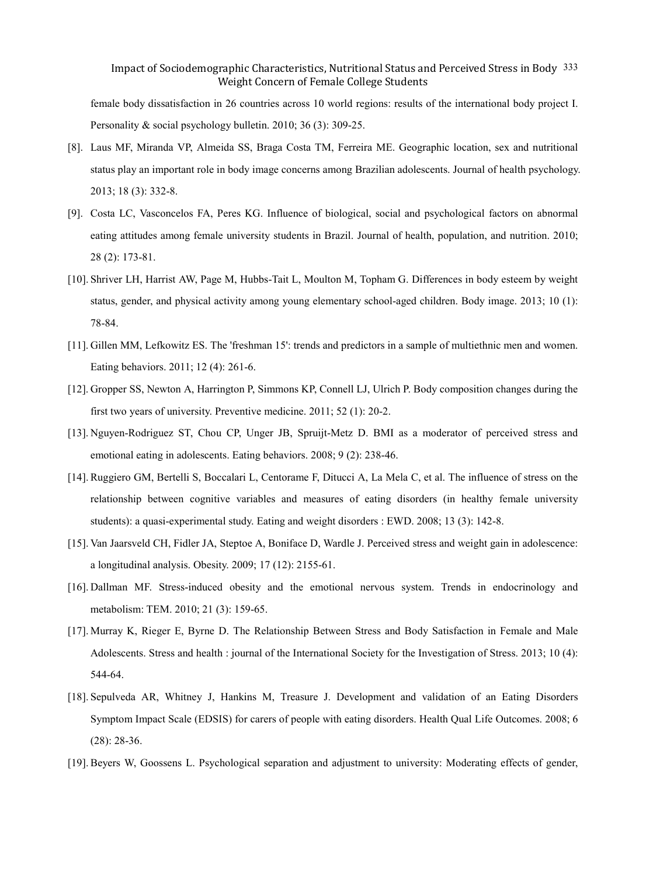female body dissatisfaction in 26 countries across 10 world regions: results of the international body project I. Personality & social psychology bulletin. 2010; 36 (3): 309-25.

- [8]. Laus MF, Miranda VP, Almeida SS, Braga Costa TM, Ferreira ME. Geographic location, sex and nutritional status play an important role in body image concerns among Brazilian adolescents. Journal of health psychology. 2013; 18 (3): 332-8.
- [9]. Costa LC, Vasconcelos FA, Peres KG. Influence of biological, social and psychological factors on abnormal eating attitudes among female university students in Brazil. Journal of health, population, and nutrition. 2010; 28 (2): 173-81.
- [10]. Shriver LH, Harrist AW, Page M, Hubbs-Tait L, Moulton M, Topham G. Differences in body esteem by weight status, gender, and physical activity among young elementary school-aged children. Body image. 2013; 10 (1): 78-84.
- [11]. Gillen MM, Lefkowitz ES. The 'freshman 15': trends and predictors in a sample of multiethnic men and women. Eating behaviors. 2011; 12 (4): 261-6.
- [12]. Gropper SS, Newton A, Harrington P, Simmons KP, Connell LJ, Ulrich P. Body composition changes during the first two years of university. Preventive medicine. 2011; 52 (1): 20-2.
- [13]. Nguyen-Rodriguez ST, Chou CP, Unger JB, Spruijt-Metz D. BMI as a moderator of perceived stress and emotional eating in adolescents. Eating behaviors. 2008; 9 (2): 238-46.
- [14]. Ruggiero GM, Bertelli S, Boccalari L, Centorame F, Ditucci A, La Mela C, et al. The influence of stress on the relationship between cognitive variables and measures of eating disorders (in healthy female university students): a quasi-experimental study. Eating and weight disorders : EWD. 2008; 13 (3): 142-8.
- [15]. Van Jaarsveld CH, Fidler JA, Steptoe A, Boniface D, Wardle J. Perceived stress and weight gain in adolescence: a longitudinal analysis. Obesity. 2009; 17 (12): 2155-61.
- [16]. Dallman MF. Stress-induced obesity and the emotional nervous system. Trends in endocrinology and metabolism: TEM. 2010; 21 (3): 159-65.
- [17]. Murray K, Rieger E, Byrne D. The Relationship Between Stress and Body Satisfaction in Female and Male Adolescents. Stress and health : journal of the International Society for the Investigation of Stress. 2013; 10 (4): 544-64.
- [18]. Sepulveda AR, Whitney J, Hankins M, Treasure J. Development and validation of an Eating Disorders Symptom Impact Scale (EDSIS) for carers of people with eating disorders. Health Qual Life Outcomes. 2008; 6 (28): 28-36.
- [19]. Beyers W, Goossens L. Psychological separation and adjustment to university: Moderating effects of gender,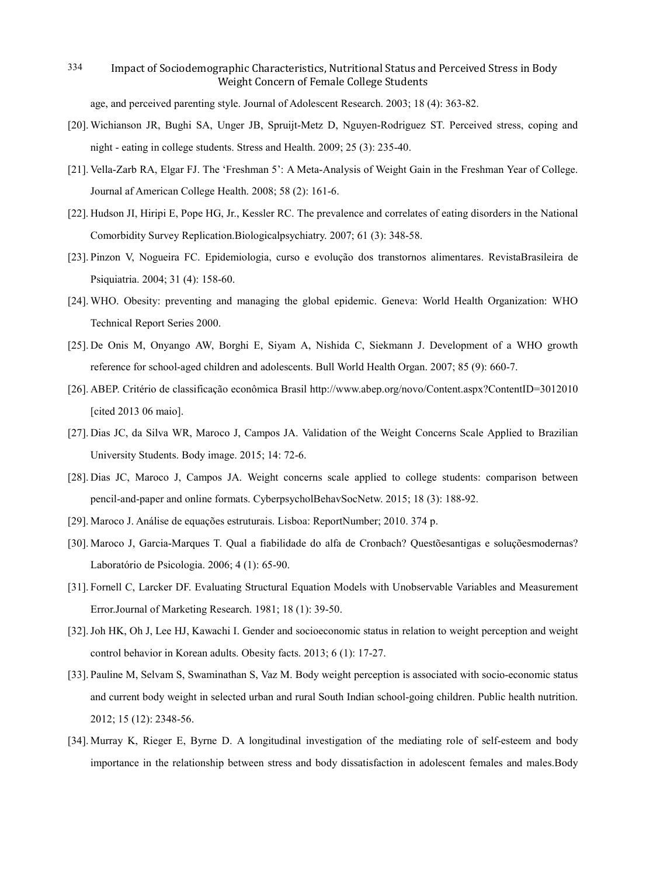age, and perceived parenting style. Journal of Adolescent Research. 2003; 18 (4): 363-82.

- [20]. Wichianson JR, Bughi SA, Unger JB, Spruijt-Metz D, Nguyen-Rodriguez ST. Perceived stress, coping and night - eating in college students. Stress and Health. 2009; 25 (3): 235-40.
- [21]. Vella-Zarb RA, Elgar FJ. The 'Freshman 5': A Meta-Analysis of Weight Gain in the Freshman Year of College. Journal af American College Health. 2008; 58 (2): 161-6.
- [22]. Hudson JI, Hiripi E, Pope HG, Jr., Kessler RC. The prevalence and correlates of eating disorders in the National Comorbidity Survey Replication.Biologicalpsychiatry. 2007; 61 (3): 348-58.
- [23]. Pinzon V, Nogueira FC. Epidemiologia, curso e evolução dos transtornos alimentares. RevistaBrasileira de Psiquiatria. 2004; 31 (4): 158-60.
- [24]. WHO. Obesity: preventing and managing the global epidemic. Geneva: World Health Organization: WHO Technical Report Series 2000.
- [25]. De Onis M, Onyango AW, Borghi E, Siyam A, Nishida C, Siekmann J. Development of a WHO growth reference for school-aged children and adolescents. Bull World Health Organ. 2007; 85 (9): 660-7.
- [26]. ABEP. Critério de classificação econômica Brasil http://www.abep.org/novo/Content.aspx?ContentID=3012010 [cited 2013 06 maio].
- [27]. Dias JC, da Silva WR, Maroco J, Campos JA. Validation of the Weight Concerns Scale Applied to Brazilian University Students. Body image. 2015; 14: 72-6.
- [28]. Dias JC, Maroco J, Campos JA. Weight concerns scale applied to college students: comparison between pencil-and-paper and online formats. CyberpsycholBehavSocNetw. 2015; 18 (3): 188-92.
- [29]. Maroco J. Análise de equações estruturais. Lisboa: ReportNumber; 2010. 374 p.
- [30]. Maroco J, Garcia-Marques T. Qual a fiabilidade do alfa de Cronbach? Questõesantigas e soluçõesmodernas? Laboratório de Psicologia. 2006; 4 (1): 65-90.
- [31]. Fornell C, Larcker DF. Evaluating Structural Equation Models with Unobservable Variables and Measurement Error.Journal of Marketing Research. 1981; 18 (1): 39-50.
- [32].Joh HK, Oh J, Lee HJ, Kawachi I. Gender and socioeconomic status in relation to weight perception and weight control behavior in Korean adults. Obesity facts. 2013; 6 (1): 17-27.
- [33]. Pauline M, Selvam S, Swaminathan S, Vaz M. Body weight perception is associated with socio-economic status and current body weight in selected urban and rural South Indian school-going children. Public health nutrition. 2012; 15 (12): 2348-56.
- [34]. Murray K, Rieger E, Byrne D. A longitudinal investigation of the mediating role of self-esteem and body importance in the relationship between stress and body dissatisfaction in adolescent females and males.Body